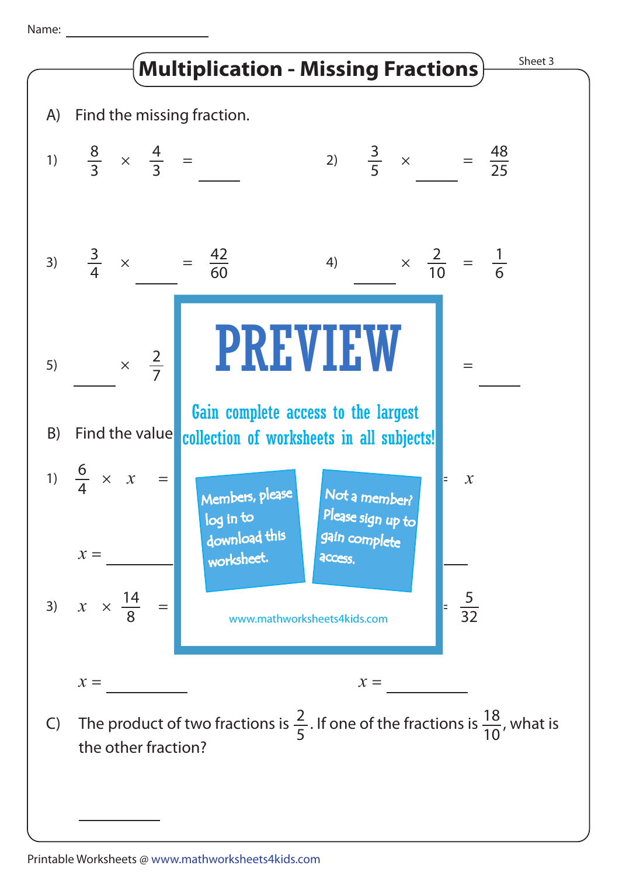